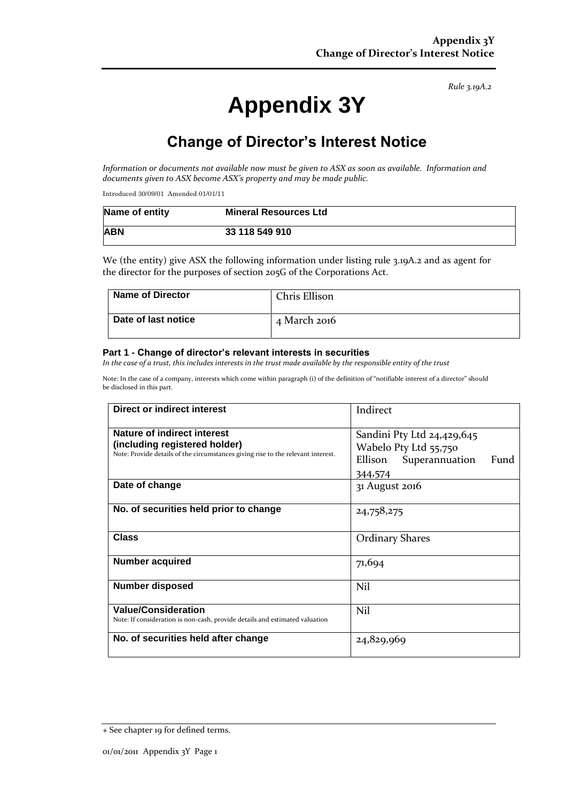*Rule 3.19A.2*

# **Appendix 3Y**

# **Change of Director's Interest Notice**

*Information or documents not available now must be given to ASX as soon as available. Information and documents given to ASX become ASX's property and may be made public.*

Introduced 30/09/01 Amended 01/01/11

| Name of entity | <b>Mineral Resources Ltd</b> |
|----------------|------------------------------|
| <b>ABN</b>     | 33 118 549 910               |

We (the entity) give ASX the following information under listing rule 3.19A.2 and as agent for the director for the purposes of section 205G of the Corporations Act.

| <b>Name of Director</b> | Chris Ellison |
|-------------------------|---------------|
| Date of last notice     | 4 March 2016  |

#### **Part 1 - Change of director's relevant interests in securities**

*In the case of a trust, this includes interests in the trust made available by the responsible entity of the trust*

Note: In the case of a company, interests which come within paragraph (i) of the definition of "notifiable interest of a director" should be disclosed in this part.

| Direct or indirect interest                                                                                                                      | Indirect                                                                                            |
|--------------------------------------------------------------------------------------------------------------------------------------------------|-----------------------------------------------------------------------------------------------------|
| Nature of indirect interest<br>(including registered holder)<br>Note: Provide details of the circumstances giving rise to the relevant interest. | Sandini Pty Ltd 24,429,645<br>Wabelo Pty Ltd 55,750<br>Ellison<br>Superannuation<br>Fund<br>344,574 |
| Date of change                                                                                                                                   | 31 August 2016                                                                                      |
| No. of securities held prior to change                                                                                                           | 24,758,275                                                                                          |
| <b>Class</b>                                                                                                                                     | <b>Ordinary Shares</b>                                                                              |
| <b>Number acquired</b>                                                                                                                           | 71,694                                                                                              |
| <b>Number disposed</b>                                                                                                                           | Nil                                                                                                 |
| <b>Value/Consideration</b><br>Note: If consideration is non-cash, provide details and estimated valuation                                        | Nil                                                                                                 |
| No. of securities held after change                                                                                                              | 24,829,969                                                                                          |

<sup>+</sup> See chapter 19 for defined terms.